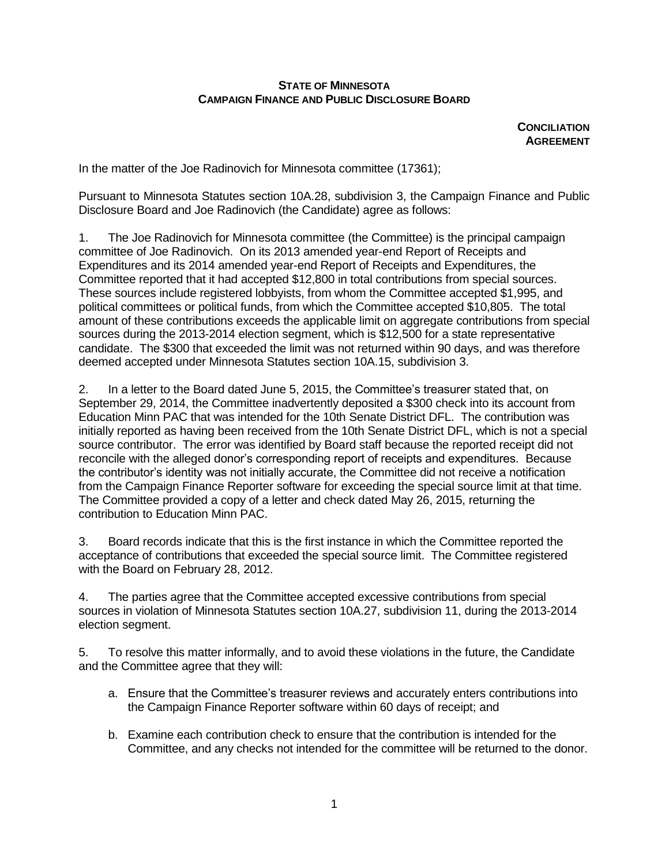## **STATE OF MINNESOTA CAMPAIGN FINANCE AND PUBLIC DISCLOSURE BOARD**

**CONCILIATION AGREEMENT**

In the matter of the Joe Radinovich for Minnesota committee (17361);

Pursuant to Minnesota Statutes section 10A.28, subdivision 3, the Campaign Finance and Public Disclosure Board and Joe Radinovich (the Candidate) agree as follows:

1. The Joe Radinovich for Minnesota committee (the Committee) is the principal campaign committee of Joe Radinovich. On its 2013 amended year-end Report of Receipts and Expenditures and its 2014 amended year-end Report of Receipts and Expenditures, the Committee reported that it had accepted \$12,800 in total contributions from special sources. These sources include registered lobbyists, from whom the Committee accepted \$1,995, and political committees or political funds, from which the Committee accepted \$10,805. The total amount of these contributions exceeds the applicable limit on aggregate contributions from special sources during the 2013-2014 election segment, which is \$12,500 for a state representative candidate. The \$300 that exceeded the limit was not returned within 90 days, and was therefore deemed accepted under Minnesota Statutes section 10A.15, subdivision 3.

2. In a letter to the Board dated June 5, 2015, the Committee's treasurer stated that, on September 29, 2014, the Committee inadvertently deposited a \$300 check into its account from Education Minn PAC that was intended for the 10th Senate District DFL. The contribution was initially reported as having been received from the 10th Senate District DFL, which is not a special source contributor. The error was identified by Board staff because the reported receipt did not reconcile with the alleged donor's corresponding report of receipts and expenditures. Because the contributor's identity was not initially accurate, the Committee did not receive a notification from the Campaign Finance Reporter software for exceeding the special source limit at that time. The Committee provided a copy of a letter and check dated May 26, 2015, returning the contribution to Education Minn PAC.

3. Board records indicate that this is the first instance in which the Committee reported the acceptance of contributions that exceeded the special source limit. The Committee registered with the Board on February 28, 2012.

4. The parties agree that the Committee accepted excessive contributions from special sources in violation of Minnesota Statutes section 10A.27, subdivision 11, during the 2013-2014 election segment.

5. To resolve this matter informally, and to avoid these violations in the future, the Candidate and the Committee agree that they will:

- a. Ensure that the Committee's treasurer reviews and accurately enters contributions into the Campaign Finance Reporter software within 60 days of receipt; and
- b. Examine each contribution check to ensure that the contribution is intended for the Committee, and any checks not intended for the committee will be returned to the donor.